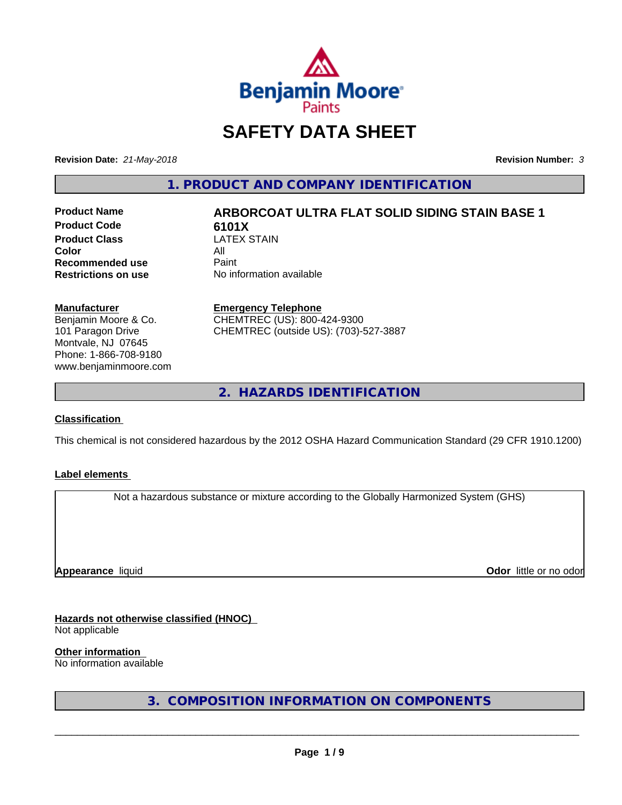

# **SAFETY DATA SHEET**

**Revision Date:** *21-May-2018* **Revision Number:** *3*

**1. PRODUCT AND COMPANY IDENTIFICATION**

**Product Code**<br>**Product Class CATEX STAIN Product Class** LA<br>**Color** All **Color** All **Recommended use** Paint<br> **Restrictions on use** No inf

# **Product Name ARBORCOAT ULTRA FLAT SOLID SIDING STAIN BASE 1**

**No information available** 

#### **Manufacturer**

Benjamin Moore & Co. 101 Paragon Drive Montvale, NJ 07645 Phone: 1-866-708-9180 www.benjaminmoore.com

#### **Emergency Telephone**

CHEMTREC (US): 800-424-9300 CHEMTREC (outside US): (703)-527-3887

**2. HAZARDS IDENTIFICATION**

#### **Classification**

This chemical is not considered hazardous by the 2012 OSHA Hazard Communication Standard (29 CFR 1910.1200)

#### **Label elements**

Not a hazardous substance or mixture according to the Globally Harmonized System (GHS)

**Appearance** liquid

**Odor** little or no odor

#### **Hazards not otherwise classified (HNOC)**

Not applicable

**Other information**

No information available

**3. COMPOSITION INFORMATION ON COMPONENTS**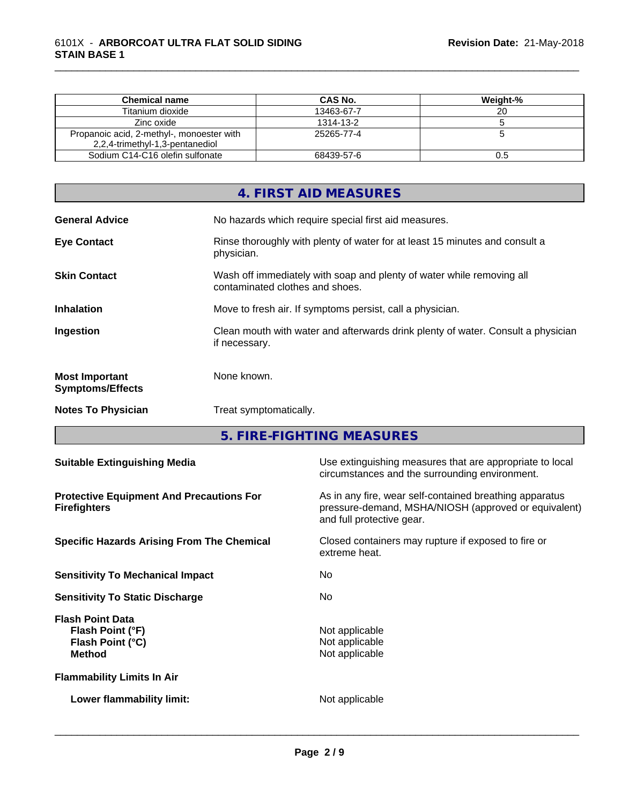| <b>Chemical name</b>                                                         | CAS No.    | Weight-% |
|------------------------------------------------------------------------------|------------|----------|
| Titanium dioxide                                                             | 13463-67-7 | 20       |
| Zinc oxide                                                                   | 1314-13-2  |          |
| Propanoic acid, 2-methyl-, monoester with<br>2,2,4-trimethyl-1,3-pentanediol | 25265-77-4 |          |
| Sodium C14-C16 olefin sulfonate                                              | 68439-57-6 | U.O      |

\_\_\_\_\_\_\_\_\_\_\_\_\_\_\_\_\_\_\_\_\_\_\_\_\_\_\_\_\_\_\_\_\_\_\_\_\_\_\_\_\_\_\_\_\_\_\_\_\_\_\_\_\_\_\_\_\_\_\_\_\_\_\_\_\_\_\_\_\_\_\_\_\_\_\_\_\_\_\_\_\_\_\_\_\_\_\_\_\_\_\_\_\_

## **4. FIRST AID MEASURES** General Advice **No hazards which require special first aid measures. Eye Contact Rinse thoroughly with plenty of water for at least 15 minutes and consult a** physician. **Skin Contact** Wash off immediately with soap and plenty of water while removing all contaminated clothes and shoes. **Inhalation** Move to fresh air. If symptoms persist, call a physician. **Ingestion** Clean mouth with water and afterwards drink plenty of water. Consult a physician if necessary. **Most Important Symptoms/Effects** None known. **Notes To Physician** Treat symptomatically.

**5. FIRE-FIGHTING MEASURES**

| <b>Suitable Extinguishing Media</b>                                              | Use extinguishing measures that are appropriate to local<br>circumstances and the surrounding environment.                                   |  |  |
|----------------------------------------------------------------------------------|----------------------------------------------------------------------------------------------------------------------------------------------|--|--|
| <b>Protective Equipment And Precautions For</b><br><b>Firefighters</b>           | As in any fire, wear self-contained breathing apparatus<br>pressure-demand, MSHA/NIOSH (approved or equivalent)<br>and full protective gear. |  |  |
| <b>Specific Hazards Arising From The Chemical</b>                                | Closed containers may rupture if exposed to fire or<br>extreme heat.                                                                         |  |  |
| <b>Sensitivity To Mechanical Impact</b>                                          | No.                                                                                                                                          |  |  |
| <b>Sensitivity To Static Discharge</b>                                           | No.                                                                                                                                          |  |  |
| <b>Flash Point Data</b><br>Flash Point (°F)<br>Flash Point (°C)<br><b>Method</b> | Not applicable<br>Not applicable<br>Not applicable                                                                                           |  |  |
| <b>Flammability Limits In Air</b>                                                |                                                                                                                                              |  |  |
| Lower flammability limit:                                                        | Not applicable                                                                                                                               |  |  |
|                                                                                  |                                                                                                                                              |  |  |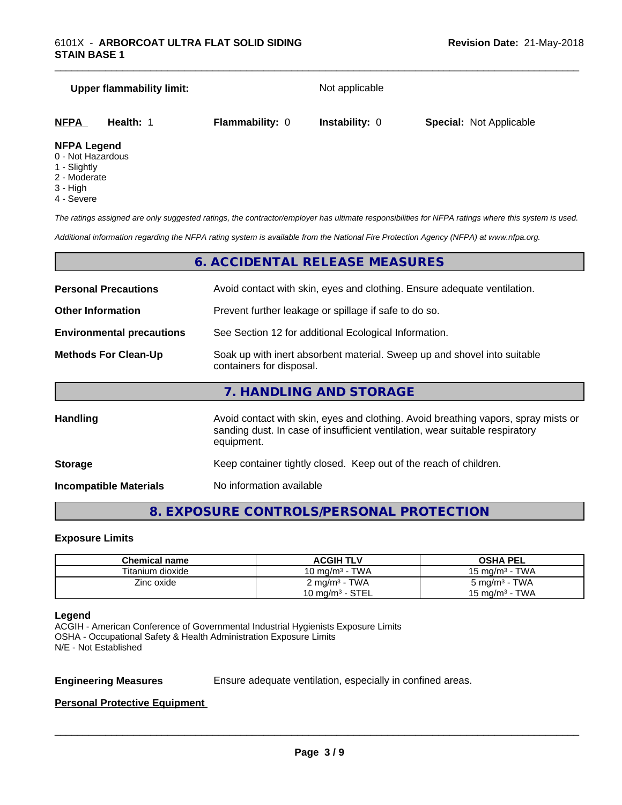# **Upper flammability limit:** Not applicable **NFPA Health:** 1 **Flammability:** 0 **Instability:** 0 **Special:** Not Applicable

\_\_\_\_\_\_\_\_\_\_\_\_\_\_\_\_\_\_\_\_\_\_\_\_\_\_\_\_\_\_\_\_\_\_\_\_\_\_\_\_\_\_\_\_\_\_\_\_\_\_\_\_\_\_\_\_\_\_\_\_\_\_\_\_\_\_\_\_\_\_\_\_\_\_\_\_\_\_\_\_\_\_\_\_\_\_\_\_\_\_\_\_\_

#### **NFPA Legend**

- 0 Not Hazardous
- 1 Slightly
- 2 Moderate
- 3 High
- 4 Severe

*The ratings assigned are only suggested ratings, the contractor/employer has ultimate responsibilities for NFPA ratings where this system is used.*

*Additional information regarding the NFPA rating system is available from the National Fire Protection Agency (NFPA) at www.nfpa.org.*

#### **6. ACCIDENTAL RELEASE MEASURES**

| <b>Personal Precautions</b>      | Avoid contact with skin, eyes and clothing. Ensure adequate ventilation.                                                                                                         |
|----------------------------------|----------------------------------------------------------------------------------------------------------------------------------------------------------------------------------|
| <b>Other Information</b>         | Prevent further leakage or spillage if safe to do so.                                                                                                                            |
| <b>Environmental precautions</b> | See Section 12 for additional Ecological Information.                                                                                                                            |
| <b>Methods For Clean-Up</b>      | Soak up with inert absorbent material. Sweep up and shovel into suitable<br>containers for disposal.                                                                             |
|                                  | 7. HANDLING AND STORAGE                                                                                                                                                          |
| <b>Handling</b>                  | Avoid contact with skin, eyes and clothing. Avoid breathing vapors, spray mists or<br>sanding dust. In case of insufficient ventilation, wear suitable respiratory<br>equipment. |
| <b>Storage</b>                   | Keep container tightly closed. Keep out of the reach of children.                                                                                                                |
|                                  |                                                                                                                                                                                  |

**Incompatible Materials** No information available

#### **8. EXPOSURE CONTROLS/PERSONAL PROTECTION**

#### **Exposure Limits**

| Chemical name    | <b>ACGIH TLV</b>           | <b>OSHA PEL</b>          |
|------------------|----------------------------|--------------------------|
| Titanium dioxide | 10 mg/m $3$ - TWA          | 15 mg/m $3$ - TWA        |
| Zinc oxide       | 2 mg/m <sup>3</sup> - TWA  | $5 \text{ mg/m}^3$ - TWA |
|                  | $10 \text{ mg/m}^3$ - STEL | 15 mg/m $3$ - TWA        |

#### **Legend**

ACGIH - American Conference of Governmental Industrial Hygienists Exposure Limits OSHA - Occupational Safety & Health Administration Exposure Limits N/E - Not Established

**Engineering Measures** Ensure adequate ventilation, especially in confined areas.

 $\overline{\phantom{a}}$  ,  $\overline{\phantom{a}}$  ,  $\overline{\phantom{a}}$  ,  $\overline{\phantom{a}}$  ,  $\overline{\phantom{a}}$  ,  $\overline{\phantom{a}}$  ,  $\overline{\phantom{a}}$  ,  $\overline{\phantom{a}}$  ,  $\overline{\phantom{a}}$  ,  $\overline{\phantom{a}}$  ,  $\overline{\phantom{a}}$  ,  $\overline{\phantom{a}}$  ,  $\overline{\phantom{a}}$  ,  $\overline{\phantom{a}}$  ,  $\overline{\phantom{a}}$  ,  $\overline{\phantom{a}}$ 

#### **Personal Protective Equipment**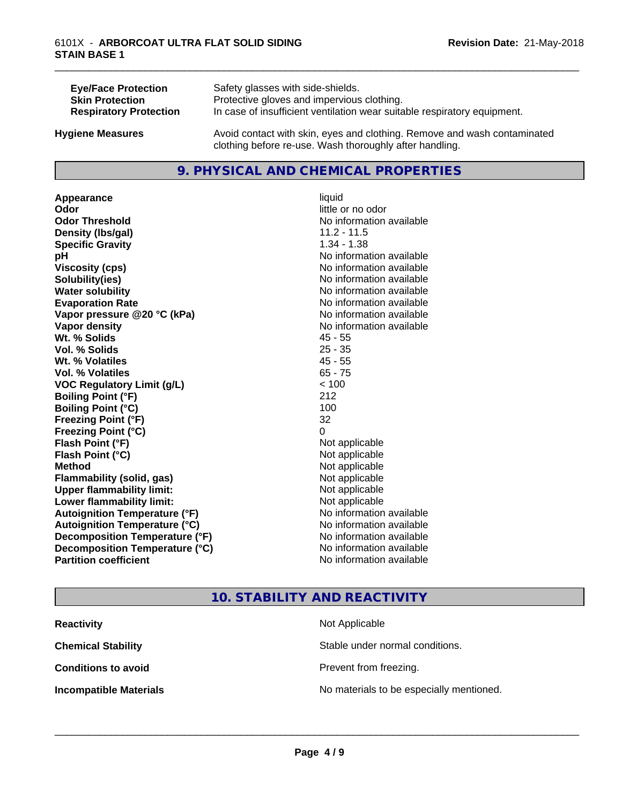| <b>Eye/Face Protection</b>    | Safety glasses with side-shields.                                        |
|-------------------------------|--------------------------------------------------------------------------|
| <b>Skin Protection</b>        | Protective gloves and impervious clothing.                               |
| <b>Respiratory Protection</b> | In case of insufficient ventilation wear suitable respiratory equipment. |
| <b>Hygiene Measures</b>       | Avoid contact with skin, eyes and clothing. Remove and wash contaminated |

#### **9. PHYSICAL AND CHEMICAL PROPERTIES**

clothing before re-use. Wash thoroughly after handling.

**Appearance** liquid **Odor** little or no odor **Odor Threshold**<br> **Density (Ibs/aal)**<br> **Density (Ibs/aal)**<br> **Density (Ibs/aal)**<br> **Density (Ibs/aal) Density (Ibs/gal) Specific Gravity** 1.34 - 1.38 **pH** No information available **Viscosity (cps)** No information available **Solubility(ies)** No information available **Water solubility Water solubility Water solubility Water solubility Water solubility Water solution Evaporation Rate No information available No information available Vapor pressure @20 °C (kPa)** No information available **Vapor density No information available Wt. % Solids** 45 - 55 **Vol. % Solids** 25 - 35 **Wt. % Volatiles** 45 - 55 **Vol. % Volatiles** 65 - 75 **VOC Regulatory Limit (g/L)** < 100 **Boiling Point (°F)** 212 **Boiling Point (°C)** 100 **Freezing Point (°F)** 32 **Freezing Point (°C)** 0 **Flash Point (°F)** Not applicable **Flash Point (°C)** Not applicable **Method** Not applicable **Flammability (solid, gas)** Not applicable **Upper flammability limit:** Not applicable **Lower flammability limit:** Not applicable **Autoignition Temperature (°F)** No information available **Autoignition Temperature (°C)** No information available **Decomposition Temperature (°F)**<br> **Decomposition Temperature (°C)**<br>
No information available **Decomposition Temperature (°C)**<br>Partition coefficient

**No information available** 

\_\_\_\_\_\_\_\_\_\_\_\_\_\_\_\_\_\_\_\_\_\_\_\_\_\_\_\_\_\_\_\_\_\_\_\_\_\_\_\_\_\_\_\_\_\_\_\_\_\_\_\_\_\_\_\_\_\_\_\_\_\_\_\_\_\_\_\_\_\_\_\_\_\_\_\_\_\_\_\_\_\_\_\_\_\_\_\_\_\_\_\_\_

#### **10. STABILITY AND REACTIVITY**

| <b>Reactivity</b><br>Not Applicable |                                          |
|-------------------------------------|------------------------------------------|
| <b>Chemical Stability</b>           | Stable under normal conditions.          |
| <b>Conditions to avoid</b>          | Prevent from freezing.                   |
| <b>Incompatible Materials</b>       | No materials to be especially mentioned. |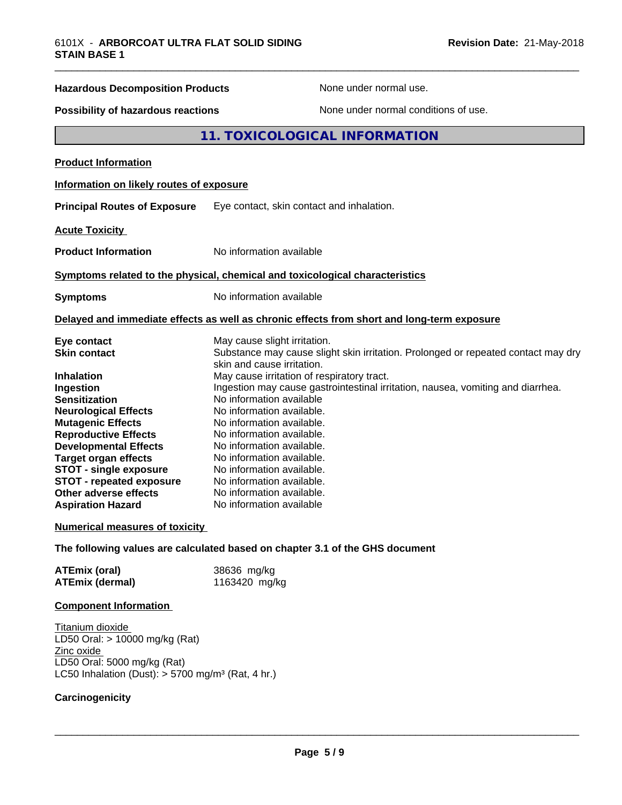| <b>Hazardous Decomposition Products</b>   | None under normal use.                                                                     |
|-------------------------------------------|--------------------------------------------------------------------------------------------|
| <b>Possibility of hazardous reactions</b> | None under normal conditions of use.                                                       |
|                                           | 11. TOXICOLOGICAL INFORMATION                                                              |
| <b>Product Information</b>                |                                                                                            |
| Information on likely routes of exposure  |                                                                                            |
| <b>Principal Routes of Exposure</b>       | Eye contact, skin contact and inhalation.                                                  |
| <b>Acute Toxicity</b>                     |                                                                                            |
| <b>Product Information</b>                | No information available                                                                   |
|                                           | Symptoms related to the physical, chemical and toxicological characteristics               |
| <b>Symptoms</b>                           | No information available                                                                   |
|                                           | Delayed and immediate effects as well as chronic effects from short and long-term exposure |
| Eye contact                               | May cause slight irritation.                                                               |
| <b>Skin contact</b>                       | Substance may cause slight skin irritation. Prolonged or repeated contact may dry          |
| <b>Inhalation</b>                         | skin and cause irritation.<br>May cause irritation of respiratory tract.                   |
| Ingestion                                 | Ingestion may cause gastrointestinal irritation, nausea, vomiting and diarrhea.            |
| <b>Sensitization</b>                      | No information available                                                                   |
| <b>Neurological Effects</b>               | No information available.                                                                  |
| <b>Mutagenic Effects</b>                  | No information available.                                                                  |
| <b>Reproductive Effects</b>               | No information available.                                                                  |
| <b>Developmental Effects</b>              | No information available.                                                                  |
| <b>Target organ effects</b>               | No information available.                                                                  |
| <b>STOT - single exposure</b>             | No information available.                                                                  |
| <b>STOT - repeated exposure</b>           | No information available.                                                                  |
| <b>Other adverse effects</b>              | No information available.                                                                  |

#### **Numerical measures of toxicity**

**The following values are calculated based on chapter 3.1 of the GHS document**

| <b>ATEmix (oral)</b>   | 38636 mg/kg   |
|------------------------|---------------|
| <b>ATEmix (dermal)</b> | 1163420 mg/kg |

**Aspiration Hazard** No information available

#### **Component Information**

Titanium dioxide LD50 Oral: > 10000 mg/kg (Rat) Zinc oxide LD50 Oral: 5000 mg/kg (Rat) LC50 Inhalation (Dust):  $> 5700$  mg/m<sup>3</sup> (Rat, 4 hr.)

#### **Carcinogenicity**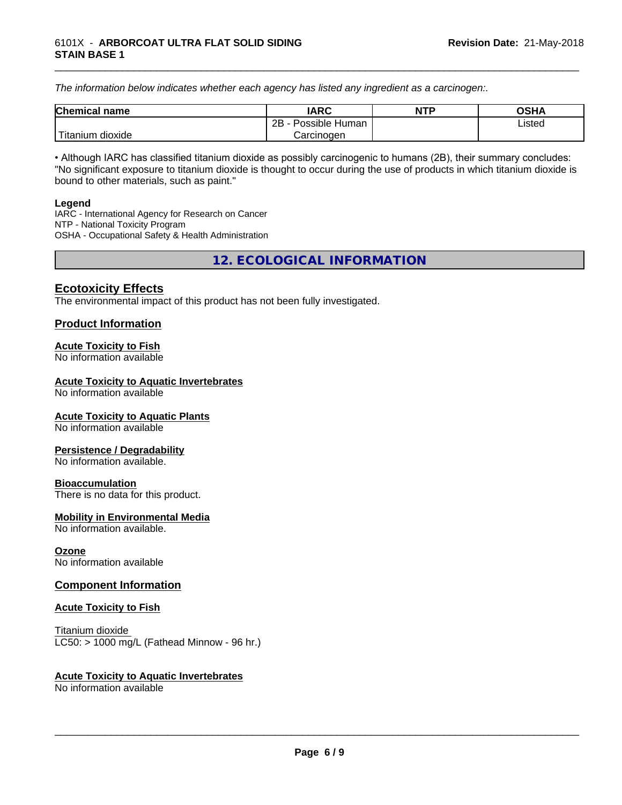*The information below indicateswhether each agency has listed any ingredient as a carcinogen:.*

| <b>Chemical</b><br>name | <b>IARC</b>                    | <b>NTP</b> | <b>OSHA</b> |
|-------------------------|--------------------------------|------------|-------------|
|                         | . .<br>2B<br>Possible<br>Human |            | Listed<br>. |
| dioxide<br>⊺itanium     | Carcinogen                     |            |             |

\_\_\_\_\_\_\_\_\_\_\_\_\_\_\_\_\_\_\_\_\_\_\_\_\_\_\_\_\_\_\_\_\_\_\_\_\_\_\_\_\_\_\_\_\_\_\_\_\_\_\_\_\_\_\_\_\_\_\_\_\_\_\_\_\_\_\_\_\_\_\_\_\_\_\_\_\_\_\_\_\_\_\_\_\_\_\_\_\_\_\_\_\_

• Although IARC has classified titanium dioxide as possibly carcinogenic to humans (2B), their summary concludes: "No significant exposure to titanium dioxide is thought to occur during the use of products in which titanium dioxide is bound to other materials, such as paint."

#### **Legend**

IARC - International Agency for Research on Cancer NTP - National Toxicity Program OSHA - Occupational Safety & Health Administration

**12. ECOLOGICAL INFORMATION**

#### **Ecotoxicity Effects**

The environmental impact of this product has not been fully investigated.

#### **Product Information**

#### **Acute Toxicity to Fish**

No information available

#### **Acute Toxicity to Aquatic Invertebrates**

No information available

#### **Acute Toxicity to Aquatic Plants**

No information available

#### **Persistence / Degradability**

No information available.

#### **Bioaccumulation**

There is no data for this product.

#### **Mobility in Environmental Media**

No information available.

#### **Ozone**

No information available

#### **Component Information**

#### **Acute Toxicity to Fish**

Titanium dioxide  $LC50:$  > 1000 mg/L (Fathead Minnow - 96 hr.)

#### **Acute Toxicity to Aquatic Invertebrates**

No information available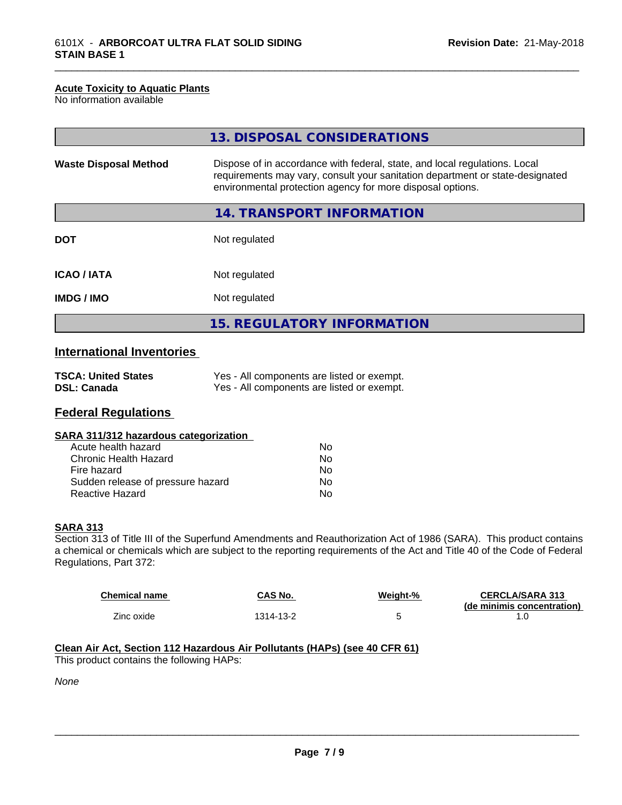#### **Acute Toxicity to Aquatic Plants**

No information available

|                              | 13. DISPOSAL CONSIDERATIONS                                                                                                                                                                                               |
|------------------------------|---------------------------------------------------------------------------------------------------------------------------------------------------------------------------------------------------------------------------|
| <b>Waste Disposal Method</b> | Dispose of in accordance with federal, state, and local regulations. Local<br>requirements may vary, consult your sanitation department or state-designated<br>environmental protection agency for more disposal options. |
|                              | 14. TRANSPORT INFORMATION                                                                                                                                                                                                 |
| <b>DOT</b>                   | Not regulated                                                                                                                                                                                                             |
| <b>ICAO/IATA</b>             | Not regulated                                                                                                                                                                                                             |
| <b>IMDG/IMO</b>              | Not regulated                                                                                                                                                                                                             |
|                              | <b>15. REGULATORY INFORMATION</b>                                                                                                                                                                                         |

\_\_\_\_\_\_\_\_\_\_\_\_\_\_\_\_\_\_\_\_\_\_\_\_\_\_\_\_\_\_\_\_\_\_\_\_\_\_\_\_\_\_\_\_\_\_\_\_\_\_\_\_\_\_\_\_\_\_\_\_\_\_\_\_\_\_\_\_\_\_\_\_\_\_\_\_\_\_\_\_\_\_\_\_\_\_\_\_\_\_\_\_\_

### **International Inventories**

| <b>TSCA: United States</b> | Yes - All components are listed or exempt. |
|----------------------------|--------------------------------------------|
| <b>DSL: Canada</b>         | Yes - All components are listed or exempt. |

#### **Federal Regulations**

| SARA 311/312 hazardous categorization |  |
|---------------------------------------|--|
|                                       |  |

| Acute health hazard               | N٥ |
|-----------------------------------|----|
| Chronic Health Hazard             | N٥ |
| Fire hazard                       | N٥ |
| Sudden release of pressure hazard | N٥ |
| Reactive Hazard                   | N٥ |

#### **SARA 313**

Section 313 of Title III of the Superfund Amendments and Reauthorization Act of 1986 (SARA). This product contains a chemical or chemicals which are subject to the reporting requirements of the Act and Title 40 of the Code of Federal Regulations, Part 372:

| <b>Chemical name</b> | CAS No.   | Weiaht-% | <b>CERCLA/SARA 313</b><br>(de minimis concentration) |
|----------------------|-----------|----------|------------------------------------------------------|
| Zinc oxide           | 1314-13-2 |          | . . U                                                |

#### **Clean Air Act,Section 112 Hazardous Air Pollutants (HAPs) (see 40 CFR 61)**

This product contains the following HAPs:

*None*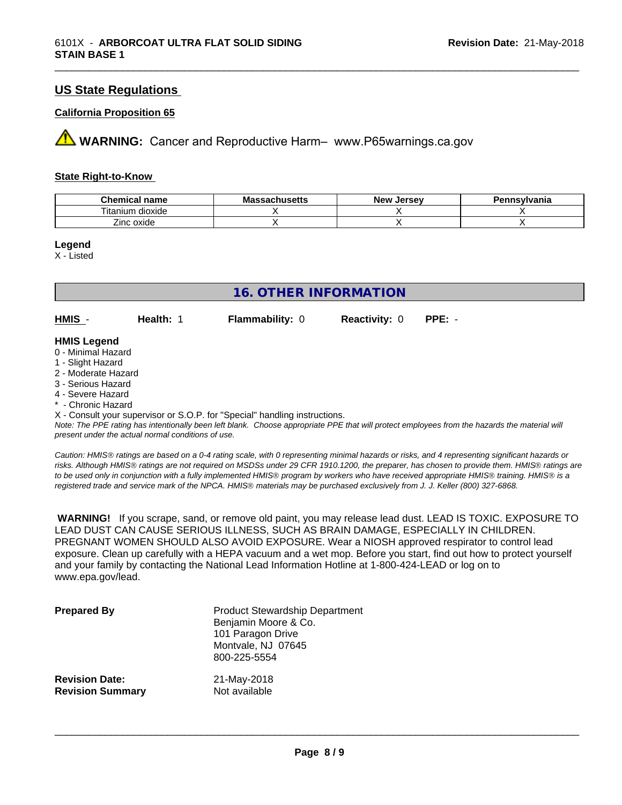#### **US State Regulations**

#### **California Proposition 65**

**AVIMARNING:** Cancer and Reproductive Harm– www.P65warnings.ca.gov

#### **State Right-to-Know**

| Chemical<br>name           | - -<br>eachusatte :<br>ма<br>museus<br>ээлы | . Jersev<br><b>ALOVE</b><br>NGW | Pennsvlvania |
|----------------------------|---------------------------------------------|---------------------------------|--------------|
| --<br>. itanium<br>dioxide |                                             |                                 |              |
| Zinc oxide                 |                                             |                                 |              |

\_\_\_\_\_\_\_\_\_\_\_\_\_\_\_\_\_\_\_\_\_\_\_\_\_\_\_\_\_\_\_\_\_\_\_\_\_\_\_\_\_\_\_\_\_\_\_\_\_\_\_\_\_\_\_\_\_\_\_\_\_\_\_\_\_\_\_\_\_\_\_\_\_\_\_\_\_\_\_\_\_\_\_\_\_\_\_\_\_\_\_\_\_

**Legend**

X - Listed

|                                          | <b>16. OTHER INFORMATION</b> |                        |                      |          |
|------------------------------------------|------------------------------|------------------------|----------------------|----------|
| $HMIS -$                                 | Health: 1                    | <b>Flammability: 0</b> | <b>Reactivity: 0</b> | $PPE: -$ |
| <b>HMIS Legend</b><br>0 - Minimal Hazard |                              |                        |                      |          |

#### 1 - Slight Hazard

- 2 Moderate Hazard
- 3 Serious Hazard
- 4 Severe Hazard
- \* Chronic Hazard

X - Consult your supervisor or S.O.P. for "Special" handling instructions.

*Note: The PPE rating has intentionally been left blank. Choose appropriate PPE that will protect employees from the hazards the material will present under the actual normal conditions of use.*

*Caution: HMISÒ ratings are based on a 0-4 rating scale, with 0 representing minimal hazards or risks, and 4 representing significant hazards or risks. Although HMISÒ ratings are not required on MSDSs under 29 CFR 1910.1200, the preparer, has chosen to provide them. HMISÒ ratings are to be used only in conjunction with a fully implemented HMISÒ program by workers who have received appropriate HMISÒ training. HMISÒ is a registered trade and service mark of the NPCA. HMISÒ materials may be purchased exclusively from J. J. Keller (800) 327-6868.*

 **WARNING!** If you scrape, sand, or remove old paint, you may release lead dust. LEAD IS TOXIC. EXPOSURE TO LEAD DUST CAN CAUSE SERIOUS ILLNESS, SUCH AS BRAIN DAMAGE, ESPECIALLY IN CHILDREN. PREGNANT WOMEN SHOULD ALSO AVOID EXPOSURE.Wear a NIOSH approved respirator to control lead exposure. Clean up carefully with a HEPA vacuum and a wet mop. Before you start, find out how to protect yourself and your family by contacting the National Lead Information Hotline at 1-800-424-LEAD or log on to www.epa.gov/lead.

| <b>Prepared By</b>      | <b>Product Stewardship Department</b><br>Benjamin Moore & Co.<br>101 Paragon Drive<br>Montvale, NJ 07645<br>800-225-5554 |
|-------------------------|--------------------------------------------------------------------------------------------------------------------------|
| <b>Revision Date:</b>   | 21-May-2018                                                                                                              |
| <b>Revision Summary</b> | Not available                                                                                                            |